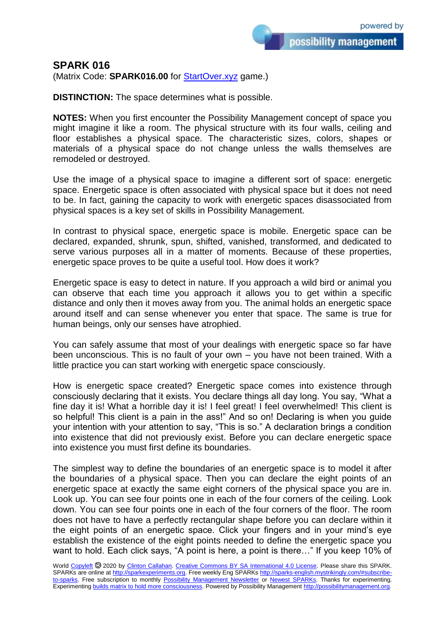## **SPARK 016**

(Matrix Code: **SPARK016.00** for [StartOver.xyz](https://startoverxyz.mystrikingly.com/) game.)

**DISTINCTION:** The space determines what is possible.

**NOTES:** When you first encounter the Possibility Management concept of space you might imagine it like a room. The physical structure with its four walls, ceiling and floor establishes a physical space. The characteristic sizes, colors, shapes or materials of a physical space do not change unless the walls themselves are remodeled or destroyed.

Use the image of a physical space to imagine a different sort of space: energetic space. Energetic space is often associated with physical space but it does not need to be. In fact, gaining the capacity to work with energetic spaces disassociated from physical spaces is a key set of skills in Possibility Management.

In contrast to physical space, energetic space is mobile. Energetic space can be declared, expanded, shrunk, spun, shifted, vanished, transformed, and dedicated to serve various purposes all in a matter of moments. Because of these properties, energetic space proves to be quite a useful tool. How does it work?

Energetic space is easy to detect in nature. If you approach a wild bird or animal you can observe that each time you approach it allows you to get within a specific distance and only then it moves away from you. The animal holds an energetic space around itself and can sense whenever you enter that space. The same is true for human beings, only our senses have atrophied.

You can safely assume that most of your dealings with energetic space so far have been unconscious. This is no fault of your own – you have not been trained. With a little practice you can start working with energetic space consciously.

How is energetic space created? Energetic space comes into existence through consciously declaring that it exists. You declare things all day long. You say, "What a fine day it is! What a horrible day it is! I feel great! I feel overwhelmed! This client is so helpful! This client is a pain in the ass!" And so on! Declaring is when you guide your intention with your attention to say, "This is so." A declaration brings a condition into existence that did not previously exist. Before you can declare energetic space into existence you must first define its boundaries.

The simplest way to define the boundaries of an energetic space is to model it after the boundaries of a physical space. Then you can declare the eight points of an energetic space at exactly the same eight corners of the physical space you are in. Look up. You can see four points one in each of the four corners of the ceiling. Look down. You can see four points one in each of the four corners of the floor. The room does not have to have a perfectly rectangular shape before you can declare within it the eight points of an energetic space. Click your fingers and in your mind's eye establish the existence of the eight points needed to define the energetic space you want to hold. Each click says, "A point is here, a point is there..." If you keep 10% of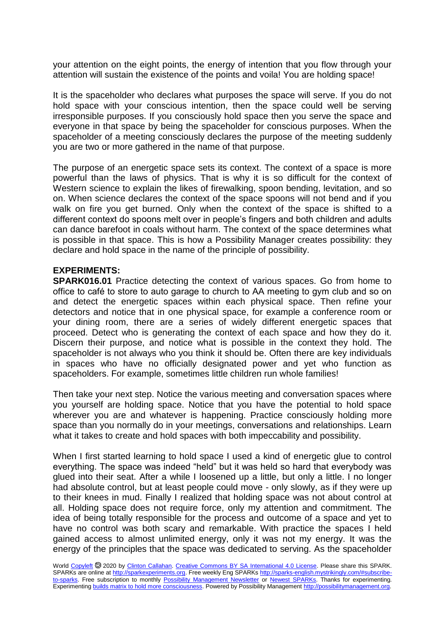your attention on the eight points, the energy of intention that you flow through your attention will sustain the existence of the points and voila! You are holding space!

It is the spaceholder who declares what purposes the space will serve. If you do not hold space with your conscious intention, then the space could well be serving irresponsible purposes. If you consciously hold space then you serve the space and everyone in that space by being the spaceholder for conscious purposes. When the spaceholder of a meeting consciously declares the purpose of the meeting suddenly you are two or more gathered in the name of that purpose.

The purpose of an energetic space sets its context. The context of a space is more powerful than the laws of physics. That is why it is so difficult for the context of Western science to explain the likes of firewalking, spoon bending, levitation, and so on. When science declares the context of the space spoons will not bend and if you walk on fire you get burned. Only when the context of the space is shifted to a different context do spoons melt over in people's fingers and both children and adults can dance barefoot in coals without harm. The context of the space determines what is possible in that space. This is how a Possibility Manager creates possibility: they declare and hold space in the name of the principle of possibility.

## **EXPERIMENTS:**

**SPARK016.01** Practice detecting the context of various spaces. Go from home to office to café to store to auto garage to church to AA meeting to gym club and so on and detect the energetic spaces within each physical space. Then refine your detectors and notice that in one physical space, for example a conference room or your dining room, there are a series of widely different energetic spaces that proceed. Detect who is generating the context of each space and how they do it. Discern their purpose, and notice what is possible in the context they hold. The spaceholder is not always who you think it should be. Often there are key individuals in spaces who have no officially designated power and yet who function as spaceholders. For example, sometimes little children run whole families!

Then take your next step. Notice the various meeting and conversation spaces where you yourself are holding space. Notice that you have the potential to hold space wherever you are and whatever is happening. Practice consciously holding more space than you normally do in your meetings, conversations and relationships. Learn what it takes to create and hold spaces with both impeccability and possibility.

When I first started learning to hold space I used a kind of energetic glue to control everything. The space was indeed "held" but it was held so hard that everybody was glued into their seat. After a while I loosened up a little, but only a little. I no longer had absolute control, but at least people could move - only slowly, as if they were up to their knees in mud. Finally I realized that holding space was not about control at all. Holding space does not require force, only my attention and commitment. The idea of being totally responsible for the process and outcome of a space and yet to have no control was both scary and remarkable. With practice the spaces I held gained access to almost unlimited energy, only it was not my energy. It was the energy of the principles that the space was dedicated to serving. As the spaceholder